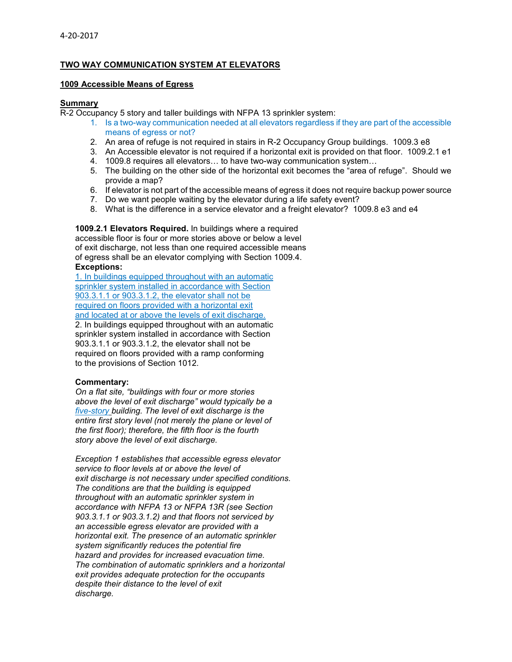# **TWO WAY COMMUNICATION SYSTEM AT ELEVATORS**

## **1009 Accessible Means of Egress**

## **Summary**

R-2 Occupancy 5 story and taller buildings with NFPA 13 sprinkler system:

- 1. Is a two-way communication needed at all elevators regardless if they are part of the accessible means of egress or not?
- 2. An area of refuge is not required in stairs in R-2 Occupancy Group buildings. 1009.3 e8
- 3. An Accessible elevator is not required if a horizontal exit is provided on that floor. 1009.2.1 e1
- 4. 1009.8 requires all elevators… to have two-way communication system…
- 5. The building on the other side of the horizontal exit becomes the "area of refuge". Should we provide a map?
- 6. If elevator is not part of the accessible means of egress it does not require backup power source
- 7. Do we want people waiting by the elevator during a life safety event?
- 8. What is the difference in a service elevator and a freight elevator? 1009.8 e3 and e4

**1009.2.1 Elevators Required.** In buildings where a required accessible floor is four or more stories above or below a level of exit discharge, not less than one required accessible means of egress shall be an elevator complying with Section 1009.4. **Exceptions:** 

1. In buildings equipped throughout with an automatic sprinkler system installed in accordance with Section 903.3.1.1 or 903.3.1.2, the elevator shall not be required on floors provided with a horizontal exit and located at or above the levels of exit discharge. 2. In buildings equipped throughout with an automatic sprinkler system installed in accordance with Section 903.3.1.1 or 903.3.1.2, the elevator shall not be

required on floors provided with a ramp conforming to the provisions of Section 1012.

# **Commentary:**

*On a flat site, "buildings with four or more stories above the level of exit discharge" would typically be a five-story building. The level of exit discharge is the entire first story level (not merely the plane or level of the first floor); therefore, the fifth floor is the fourth story above the level of exit discharge.* 

*Exception 1 establishes that accessible egress elevator service to floor levels at or above the level of exit discharge is not necessary under specified conditions. The conditions are that the building is equipped throughout with an automatic sprinkler system in accordance with NFPA 13 or NFPA 13R (see Section 903.3.1.1 or 903.3.1.2) and that floors not serviced by an accessible egress elevator are provided with a horizontal exit. The presence of an automatic sprinkler system significantly reduces the potential fire hazard and provides for increased evacuation time. The combination of automatic sprinklers and a horizontal exit provides adequate protection for the occupants despite their distance to the level of exit discharge.*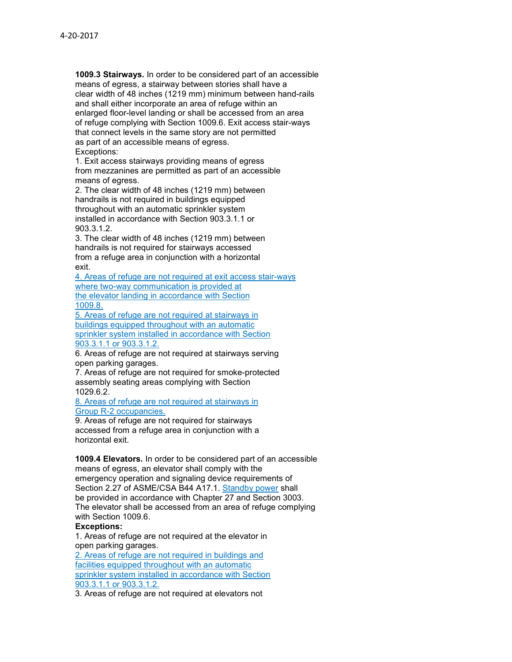**1009.3 Stairways.** In order to be considered part of an accessible means of egress, a stairway between stories shall have a clear width of 48 inches (1219 mm) minimum between hand-rails and shall either incorporate an area of refuge within an enlarged floor-level landing or shall be accessed from an area of refuge complying with Section 1009.6. Exit access stair-ways that connect levels in the same story are not permitted as part of an accessible means of egress. Exceptions:

1. Exit access stairways providing means of egress from mezzanines are permitted as part of an accessible means of egress.

2. The clear width of 48 inches (1219 mm) between handrails is not required in buildings equipped throughout with an automatic sprinkler system installed in accordance with Section 903.3.1.1 or 903.3.1.2.

3. The clear width of 48 inches (1219 mm) between handrails is not required for stairways accessed from a refuge area in conjunction with a horizontal exit.

4. Areas of refuge are not required at exit access stair-ways where two-way communication is provided at the elevator landing in accordance with Section 1009.8.

5. Areas of refuge are not required at stairways in buildings equipped throughout with an automatic sprinkler system installed in accordance with Section 903.3.1.1 or 903.3.1.2.

6. Areas of refuge are not required at stairways serving open parking garages.

7. Areas of refuge are not required for smoke-protected assembly seating areas complying with Section 1029.6.2.

8. Areas of refuge are not required at stairways in Group R-2 occupancies.

9. Areas of refuge are not required for stairways accessed from a refuge area in conjunction with a horizontal exit.

**1009.4 Elevators.** In order to be considered part of an accessible means of egress, an elevator shall comply with the emergency operation and signaling device requirements of Section 2.27 of ASME/CSA B44 A17.1. Standby power shall be provided in accordance with Chapter 27 and Section 3003. The elevator shall be accessed from an area of refuge complying with Section 1009.6.

# **Exceptions:**

1. Areas of refuge are not required at the elevator in open parking garages. 2. Areas of refuge are not required in buildings and facilities equipped throughout with an automatic sprinkler system installed in accordance with Section 903.3.1.1 or 903.3.1.2.

3. Areas of refuge are not required at elevators not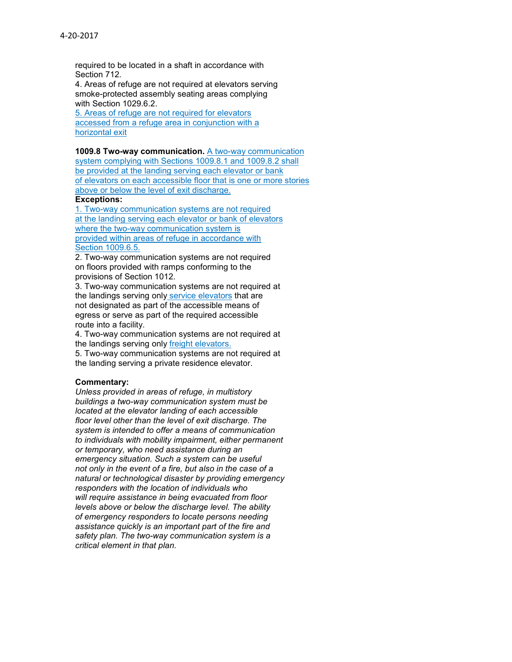required to be located in a shaft in accordance with Section 712.

4. Areas of refuge are not required at elevators serving smoke-protected assembly seating areas complying with Section 1029.6.2.

5. Areas of refuge are not required for elevators accessed from a refuge area in conjunction with a horizontal exit

**1009.8 Two-way communication.** A two-way communication

system complying with Sections 1009.8.1 and 1009.8.2 shall be provided at the landing serving each elevator or bank of elevators on each accessible floor that is one or more stories above or below the level of exit discharge.

## **Exceptions:**

1. Two-way communication systems are not required at the landing serving each elevator or bank of elevators where the two-way communication system is provided within areas of refuge in accordance with **Section 1009.6.5.** 

2. Two-way communication systems are not required on floors provided with ramps conforming to the provisions of Section 1012.

3. Two-way communication systems are not required at the landings serving only service elevators that are not designated as part of the accessible means of egress or serve as part of the required accessible route into a facility.

4. Two-way communication systems are not required at the landings serving only freight elevators.

5. Two-way communication systems are not required at the landing serving a private residence elevator.

## **Commentary:**

*Unless provided in areas of refuge, in multistory buildings a two-way communication system must be located at the elevator landing of each accessible floor level other than the level of exit discharge. The system is intended to offer a means of communication to individuals with mobility impairment, either permanent or temporary, who need assistance during an emergency situation. Such a system can be useful not only in the event of a fire, but also in the case of a natural or technological disaster by providing emergency responders with the location of individuals who will require assistance in being evacuated from floor levels above or below the discharge level. The ability of emergency responders to locate persons needing assistance quickly is an important part of the fire and safety plan. The two-way communication system is a critical element in that plan.*